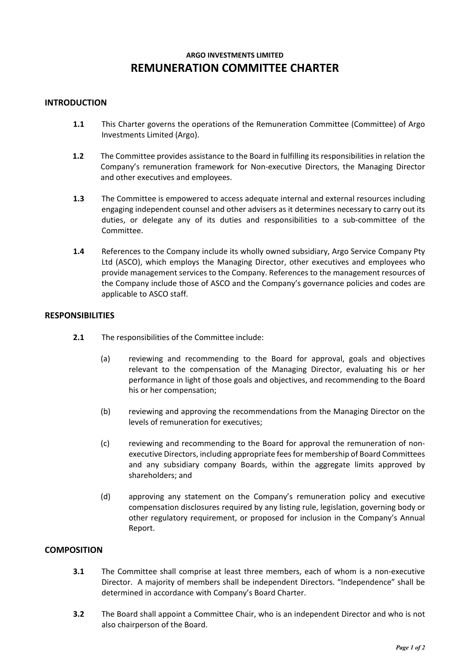# **ARGO INVESTMENTS LIMITED REMUNERATION COMMITTEE CHARTER**

### **INTRODUCTION**

- **1.1** This Charter governs the operations of the Remuneration Committee (Committee) of Argo Investments Limited (Argo).
- **1.2** The Committee provides assistance to the Board in fulfilling its responsibilities in relation the Company's remuneration framework for Non-executive Directors, the Managing Director and other executives and employees.
- **1.3** The Committee is empowered to access adequate internal and external resources including engaging independent counsel and other advisers as it determines necessary to carry out its duties, or delegate any of its duties and responsibilities to a sub-committee of the Committee.
- **1.4** References to the Company include its wholly owned subsidiary, Argo Service Company Pty Ltd (ASCO), which employs the Managing Director, other executives and employees who provide management services to the Company. References to the management resources of the Company include those of ASCO and the Company's governance policies and codes are applicable to ASCO staff.

## **RESPONSIBILITIES**

- **2.1** The responsibilities of the Committee include:
	- (a) reviewing and recommending to the Board for approval, goals and objectives relevant to the compensation of the Managing Director, evaluating his or her performance in light of those goals and objectives, and recommending to the Board his or her compensation;
	- (b) reviewing and approving the recommendations from the Managing Director on the levels of remuneration for executives;
	- (c) reviewing and recommending to the Board for approval the remuneration of nonexecutive Directors, including appropriate fees for membership of Board Committees and any subsidiary company Boards, within the aggregate limits approved by shareholders; and
	- (d) approving any statement on the Company's remuneration policy and executive compensation disclosures required by any listing rule, legislation, governing body or other regulatory requirement, or proposed for inclusion in the Company's Annual Report.

## **COMPOSITION**

- **3.1** The Committee shall comprise at least three members, each of whom is a non-executive Director. A majority of members shall be independent Directors. "Independence" shall be determined in accordance with Company's Board Charter.
- **3.2** The Board shall appoint a Committee Chair, who is an independent Director and who is not also chairperson of the Board.